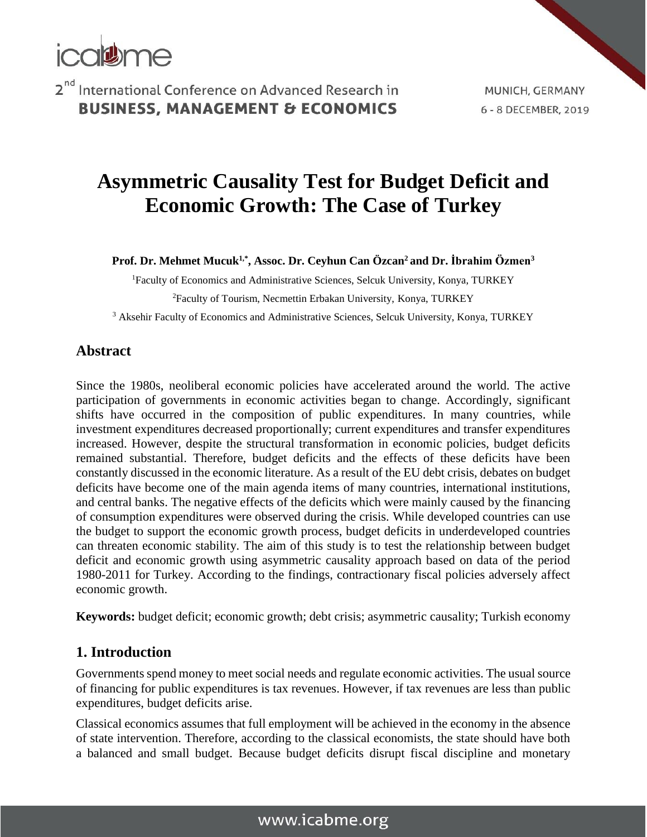

MUNICH, GERMANY 6 - 8 DECEMBER, 2019

# **Asymmetric Causality Test for Budget Deficit and Economic Growth: The Case of Turkey**

**Prof. Dr. Mehmet Mucuk1,\* , Assoc. Dr. Ceyhun Can Özcan<sup>2</sup> and Dr. İbrahim Özmen<sup>3</sup>**

<sup>1</sup>Faculty of Economics and Administrative Sciences, Selcuk University, Konya, TURKEY <sup>2</sup>Faculty of Tourism, Necmettin Erbakan University, Konya, TURKEY

<sup>3</sup> Aksehir Faculty of Economics and Administrative Sciences, Selcuk University, Konya, TURKEY

#### **Abstract**

Since the 1980s, neoliberal economic policies have accelerated around the world. The active participation of governments in economic activities began to change. Accordingly, significant shifts have occurred in the composition of public expenditures. In many countries, while investment expenditures decreased proportionally; current expenditures and transfer expenditures increased. However, despite the structural transformation in economic policies, budget deficits remained substantial. Therefore, budget deficits and the effects of these deficits have been constantly discussed in the economic literature. As a result of the EU debt crisis, debates on budget deficits have become one of the main agenda items of many countries, international institutions, and central banks. The negative effects of the deficits which were mainly caused by the financing of consumption expenditures were observed during the crisis. While developed countries can use the budget to support the economic growth process, budget deficits in underdeveloped countries can threaten economic stability. The aim of this study is to test the relationship between budget deficit and economic growth using asymmetric causality approach based on data of the period 1980-2011 for Turkey. According to the findings, contractionary fiscal policies adversely affect economic growth.

**Keywords:** budget deficit; economic growth; debt crisis; asymmetric causality; Turkish economy

#### **1. Introduction**

Governments spend money to meet social needs and regulate economic activities. The usual source of financing for public expenditures is tax revenues. However, if tax revenues are less than public expenditures, budget deficits arise.

Classical economics assumes that full employment will be achieved in the economy in the absence of state intervention. Therefore, according to the classical economists, the state should have both a balanced and small budget. Because budget deficits disrupt fiscal discipline and monetary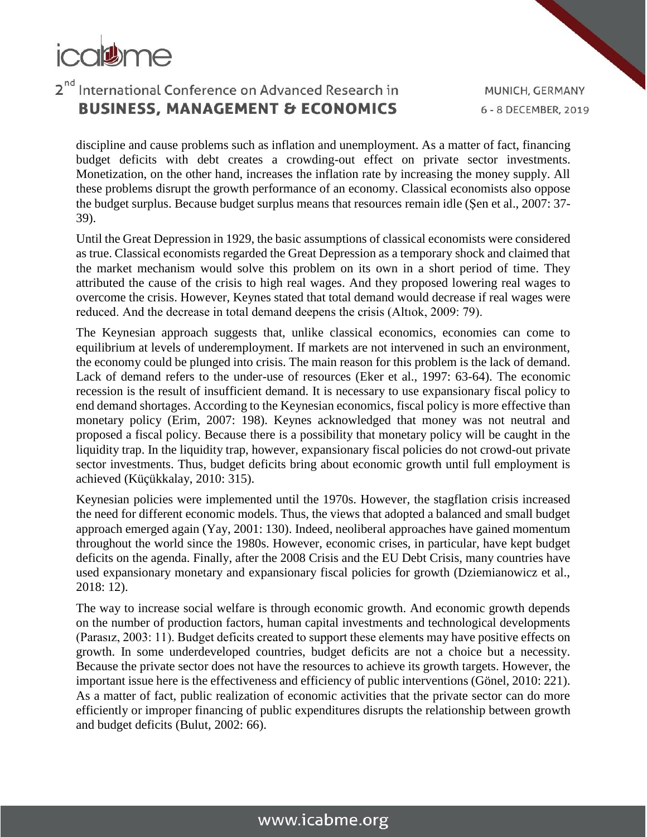

discipline and cause problems such as inflation and unemployment. As a matter of fact, financing budget deficits with debt creates a crowding-out effect on private sector investments. Monetization, on the other hand, increases the inflation rate by increasing the money supply. All these problems disrupt the growth performance of an economy. Classical economists also oppose the budget surplus. Because budget surplus means that resources remain idle (Şen et al., 2007: 37- 39).

Until the Great Depression in 1929, the basic assumptions of classical economists were considered as true. Classical economists regarded the Great Depression as a temporary shock and claimed that the market mechanism would solve this problem on its own in a short period of time. They attributed the cause of the crisis to high real wages. And they proposed lowering real wages to overcome the crisis. However, Keynes stated that total demand would decrease if real wages were reduced. And the decrease in total demand deepens the crisis (Altıok, 2009: 79).

The Keynesian approach suggests that, unlike classical economics, economies can come to equilibrium at levels of underemployment. If markets are not intervened in such an environment, the economy could be plunged into crisis. The main reason for this problem is the lack of demand. Lack of demand refers to the under-use of resources (Eker et al., 1997: 63-64). The economic recession is the result of insufficient demand. It is necessary to use expansionary fiscal policy to end demand shortages. According to the Keynesian economics, fiscal policy is more effective than monetary policy (Erim, 2007: 198). Keynes acknowledged that money was not neutral and proposed a fiscal policy. Because there is a possibility that monetary policy will be caught in the liquidity trap. In the liquidity trap, however, expansionary fiscal policies do not crowd-out private sector investments. Thus, budget deficits bring about economic growth until full employment is achieved (Küçükkalay, 2010: 315).

Keynesian policies were implemented until the 1970s. However, the stagflation crisis increased the need for different economic models. Thus, the views that adopted a balanced and small budget approach emerged again (Yay, 2001: 130). Indeed, neoliberal approaches have gained momentum throughout the world since the 1980s. However, economic crises, in particular, have kept budget deficits on the agenda. Finally, after the 2008 Crisis and the EU Debt Crisis, many countries have used expansionary monetary and expansionary fiscal policies for growth (Dziemianowicz et al., 2018: 12).

The way to increase social welfare is through economic growth. And economic growth depends on the number of production factors, human capital investments and technological developments (Parasız, 2003: 11). Budget deficits created to support these elements may have positive effects on growth. In some underdeveloped countries, budget deficits are not a choice but a necessity. Because the private sector does not have the resources to achieve its growth targets. However, the important issue here is the effectiveness and efficiency of public interventions (Gönel, 2010: 221). As a matter of fact, public realization of economic activities that the private sector can do more efficiently or improper financing of public expenditures disrupts the relationship between growth and budget deficits (Bulut, 2002: 66).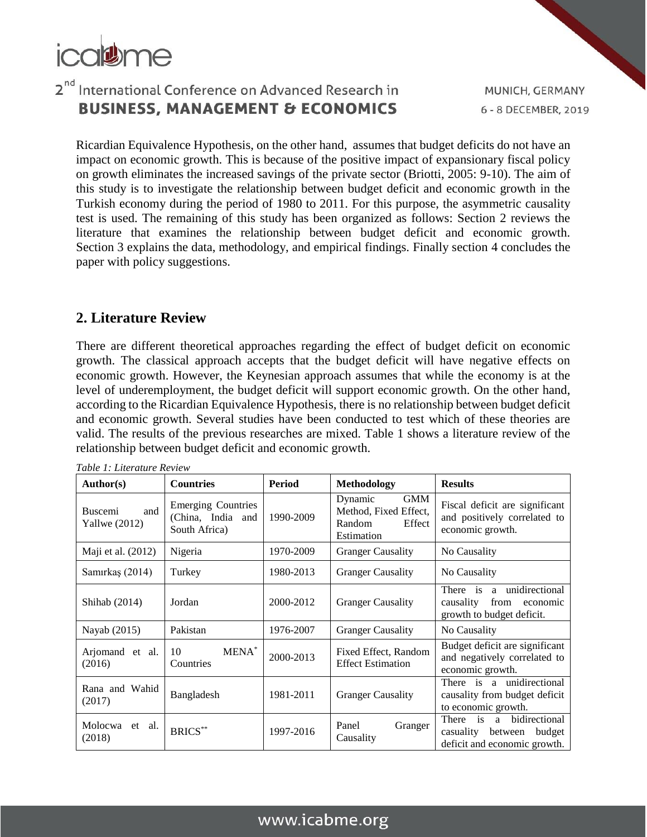

Ricardian Equivalence Hypothesis, on the other hand, assumes that budget deficits do not have an impact on economic growth. This is because of the positive impact of expansionary fiscal policy on growth eliminates the increased savings of the private sector (Briotti, 2005: 9-10). The aim of this study is to investigate the relationship between budget deficit and economic growth in the Turkish economy during the period of 1980 to 2011. For this purpose, the asymmetric causality test is used. The remaining of this study has been organized as follows: Section 2 reviews the literature that examines the relationship between budget deficit and economic growth. Section [3](https://www.sciencedirect.com/science/article/pii/S0960148119313370#sec3) explains the data, methodology, and empirical findings. Finally section [4](https://www.sciencedirect.com/science/article/pii/S0960148119313370#sec5) concludes the paper with policy suggestions.

#### **2. Literature Review**

There are different theoretical approaches regarding the effect of budget deficit on economic growth. The classical approach accepts that the budget deficit will have negative effects on economic growth. However, the Keynesian approach assumes that while the economy is at the level of underemployment, the budget deficit will support economic growth. On the other hand, according to the Ricardian Equivalence Hypothesis, there is no relationship between budget deficit and economic growth. Several studies have been conducted to test which of these theories are valid. The results of the previous researches are mixed. Table 1 shows a literature review of the relationship between budget deficit and economic growth.

| Author(s)                                | <b>Countries</b>                                                | Period    | Methodology                                                                      | <b>Results</b>                                                                             |
|------------------------------------------|-----------------------------------------------------------------|-----------|----------------------------------------------------------------------------------|--------------------------------------------------------------------------------------------|
| and<br><b>Buscemi</b><br>Yallwe $(2012)$ | <b>Emerging Countries</b><br>(China, India and<br>South Africa) | 1990-2009 | <b>GMM</b><br>Dynamic<br>Method, Fixed Effect,<br>Random<br>Effect<br>Estimation | Fiscal deficit are significant<br>and positively correlated to<br>economic growth.         |
| Maji et al. (2012)                       | Nigeria                                                         | 1970-2009 | <b>Granger Causality</b>                                                         | No Causality                                                                               |
| Samırkaş (2014)                          | Turkey                                                          | 1980-2013 | <b>Granger Causality</b>                                                         | No Causality                                                                               |
| Shihab (2014)                            | Jordan                                                          | 2000-2012 | <b>Granger Causality</b>                                                         | There is a unidirectional<br>causality<br>from<br>economic<br>growth to budget deficit.    |
| Nayab (2015)                             | Pakistan                                                        | 1976-2007 | <b>Granger Causality</b>                                                         | No Causality                                                                               |
| Arjomand et al.<br>(2016)                | MENA <sup>*</sup><br>10<br>Countries                            | 2000-2013 | Fixed Effect, Random<br><b>Effect Estimation</b>                                 | Budget deficit are significant<br>and negatively correlated to<br>economic growth.         |
| Rana and Wahid<br>(2017)                 | Bangladesh                                                      | 1981-2011 | <b>Granger Causality</b>                                                         | There is a unidirectional<br>causality from budget deficit<br>to economic growth.          |
| Molocwa et al.<br>(2018)                 | <b>BRICS**</b>                                                  | 1997-2016 | Panel<br>Granger<br>Causality                                                    | bidirectional<br>There is a<br>budget<br>casuality between<br>deficit and economic growth. |

*Table 1: Literature Review*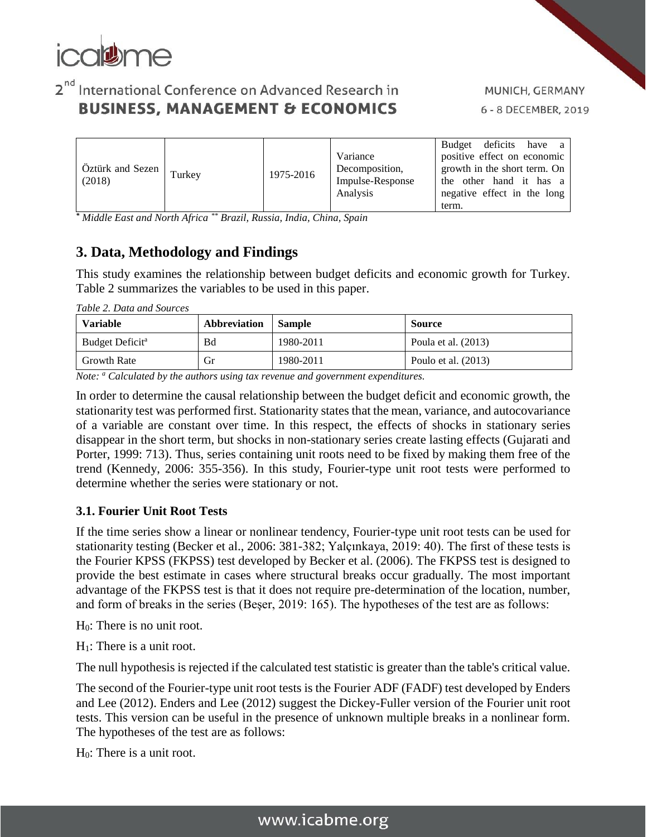

| $\overrightarrow{O}$ ztürk and Sezen $\vert$ Turkey<br>(2018) | 1975-2016 | Variance<br>Decomposition,<br>Impulse-Response<br>Analysis | Budget deficits have a<br>positive effect on economic<br>growth in the short term. On<br>the other hand it has a<br>negative effect in the long |
|---------------------------------------------------------------|-----------|------------------------------------------------------------|-------------------------------------------------------------------------------------------------------------------------------------------------|
|                                                               |           |                                                            | term.                                                                                                                                           |

*\* Middle East and North Africa \*\* Brazil, Russia, India, China, Spain* 

#### **3. Data, Methodology and Findings**

This study examines the relationship between budget deficits and economic growth for Turkey. Table 2 summarizes the variables to be used in this paper.

|  |  |  |  |  | Table 2. Data and Sources |
|--|--|--|--|--|---------------------------|
|--|--|--|--|--|---------------------------|

| <b>Variable</b>             | Abbreviation | <b>Sample</b> | <b>Source</b>         |
|-----------------------------|--------------|---------------|-----------------------|
| Budget Deficit <sup>a</sup> | Bd           | 1980-2011     | Poula et al. $(2013)$ |
| <b>Growth Rate</b>          | Gr           | 1980-2011     | Poulo et al. $(2013)$ |

*Note: <sup>a</sup> Calculated by the authors using tax revenue and government expenditures.*

In order to determine the causal relationship between the budget deficit and economic growth, the stationarity test was performed first. Stationarity states that the mean, variance, and autocovariance of a variable are constant over time. In this respect, the effects of shocks in stationary series disappear in the short term, but shocks in non-stationary series create lasting effects (Gujarati and Porter, 1999: 713). Thus, series containing unit roots need to be fixed by making them free of the trend (Kennedy, 2006: 355-356). In this study, Fourier-type unit root tests were performed to determine whether the series were stationary or not.

#### **3.1. Fourier Unit Root Tests**

If the time series show a linear or nonlinear tendency, Fourier-type unit root tests can be used for stationarity testing (Becker et al., 2006: 381-382; Yalçınkaya, 2019: 40). The first of these tests is the Fourier KPSS (FKPSS) test developed by Becker et al. (2006). The FKPSS test is designed to provide the best estimate in cases where structural breaks occur gradually. The most important advantage of the FKPSS test is that it does not require pre-determination of the location, number, and form of breaks in the series (Beşer, 2019: 165). The hypotheses of the test are as follows:

- H0: There is no unit root.
- H1: There is a unit root.

The null hypothesis is rejected if the calculated test statistic is greater than the table's critical value.

The second of the Fourier-type unit root tests is the Fourier ADF (FADF) test developed by Enders and Lee (2012). Enders and Lee (2012) suggest the Dickey-Fuller version of the Fourier unit root tests. This version can be useful in the presence of unknown multiple breaks in a nonlinear form. The hypotheses of the test are as follows:

H0: There is a unit root.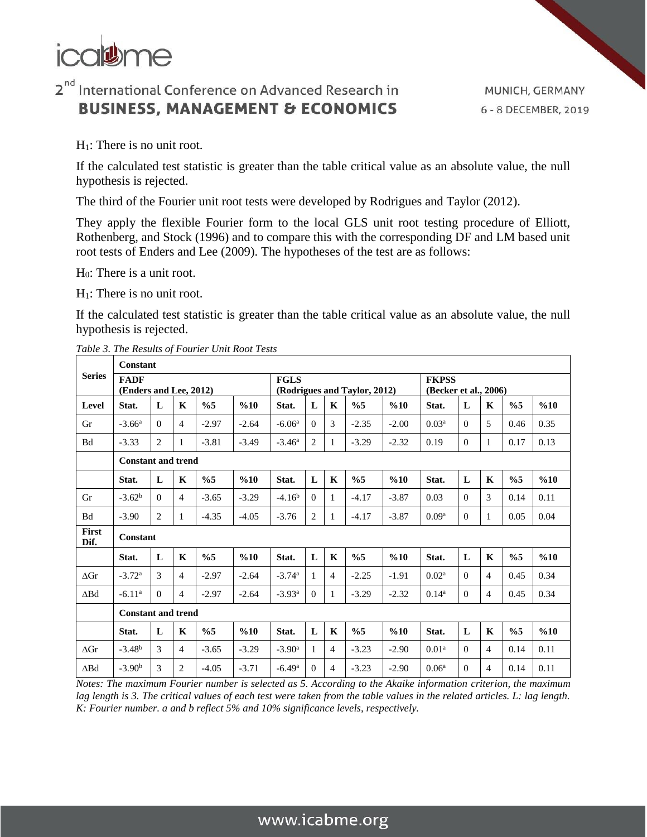

 $H_1$ : There is no unit root.

If the calculated test statistic is greater than the table critical value as an absolute value, the null hypothesis is rejected.

The third of the Fourier unit root tests were developed by Rodrigues and Taylor (2012).

They apply the flexible Fourier form to the local GLS unit root testing procedure of Elliott, Rothenberg, and Stock (1996) and to compare this with the corresponding DF and LM based unit root tests of Enders and Lee (2009). The hypotheses of the test are as follows:

H0: There is a unit root.

 $H_1$ : There is no unit root.

If the calculated test statistic is greater than the table critical value as an absolute value, the null hypothesis is rejected.

|                      | Constant                              |              |                |               |         |                                             |                |                |               |                                       |                   |              |                |               |      |
|----------------------|---------------------------------------|--------------|----------------|---------------|---------|---------------------------------------------|----------------|----------------|---------------|---------------------------------------|-------------------|--------------|----------------|---------------|------|
| <b>Series</b>        | <b>FADF</b><br>(Enders and Lee, 2012) |              |                |               |         | <b>FGLS</b><br>(Rodrigues and Taylor, 2012) |                |                |               | <b>FKPSS</b><br>(Becker et al., 2006) |                   |              |                |               |      |
| Level                | Stat.                                 | L            | $\mathbf K$    | $\%5$         | %10     | Stat.                                       | L              | $\mathbf K$    | $\%5$         | %10                                   | Stat.             | L            | $\mathbf K$    | $\%5$         | %10  |
| Gr                   | $-3.66^{\rm a}$                       | $\Omega$     | $\overline{4}$ | $-2.97$       | $-2.64$ | $-6.06a$                                    | $\Omega$       | 3              | $-2.35$       | $-2.00$                               | 0.03 <sup>a</sup> | $\Omega$     | 5              | 0.46          | 0.35 |
| <b>Bd</b>            | $-3.33$                               | 2            | 1              | $-3.81$       | $-3.49$ | $-3.46^{\rm a}$                             | $\overline{c}$ | 1              | $-3.29$       | $-2.32$                               | 0.19              | $\Omega$     | 1              | 0.17          | 0.13 |
|                      | <b>Constant and trend</b>             |              |                |               |         |                                             |                |                |               |                                       |                   |              |                |               |      |
|                      | Stat.                                 | L            | $\mathbf K$    | $\frac{0}{6}$ | %10     | Stat.                                       | L              | $\mathbf K$    | $\frac{6}{5}$ | %10                                   | Stat.             | $\mathbf{L}$ | $\mathbf K$    | $\%5$         | %10  |
| Gr                   | $-3.62b$                              | $\theta$     | $\overline{4}$ | $-3.65$       | $-3.29$ | $-4.16b$                                    | $\Omega$       | $\mathbf{1}$   | $-4.17$       | $-3.87$                               | 0.03              | $\Omega$     | 3              | 0.14          | 0.11 |
| <b>Bd</b>            | $-3.90$                               | 2            | 1              | $-4.35$       | $-4.05$ | $-3.76$                                     | 2              | 1              | $-4.17$       | $-3.87$                               | 0.09 <sup>a</sup> | $\theta$     | $\mathbf{1}$   | 0.05          | 0.04 |
| <b>First</b><br>Dif. | Constant                              |              |                |               |         |                                             |                |                |               |                                       |                   |              |                |               |      |
|                      | Stat.                                 | L            | $\mathbf{K}$   | $\frac{0}{6}$ | %10     | Stat.                                       | $\mathbf{L}$   | K              | $\frac{6}{5}$ | %10                                   | Stat.             | L            | $\mathbf K$    | $\frac{6}{5}$ | %10  |
| $\Lambda$ Gr         | $-3.72^{\rm a}$                       | 3            | $\overline{4}$ | $-2.97$       | $-2.64$ | $-3.74$ <sup>a</sup>                        | 1              | 4              | $-2.25$       | $-1.91$                               | 0.02 <sup>a</sup> | $\Omega$     | 4              | 0.45          | 0.34 |
| $\triangle$ Bd       | $-6.11^{\rm a}$                       | $\theta$     | $\overline{4}$ | $-2.97$       | $-2.64$ | $-3.93^{\rm a}$                             | $\Omega$       | 1              | $-3.29$       | $-2.32$                               | $0.14^a$          | $\theta$     | $\overline{4}$ | 0.45          | 0.34 |
|                      | <b>Constant and trend</b>             |              |                |               |         |                                             |                |                |               |                                       |                   |              |                |               |      |
|                      | Stat.                                 | $\mathbf{L}$ | K              | $\frac{0}{6}$ | %10     | Stat.                                       | L              | $\mathbf K$    | $\frac{0}{6}$ | %10                                   | Stat.             | $\mathbf{L}$ | $\mathbf K$    | $\frac{0}{6}$ | %10  |
| $\Delta$ Gr          | $-3.48b$                              | 3            | $\overline{4}$ | $-3.65$       | $-3.29$ | $-3.90$ <sup>a</sup>                        | 1              | 4              | $-3.23$       | $-2.90$                               | 0.01 <sup>a</sup> | $\Omega$     | $\overline{4}$ | 0.14          | 0.11 |
| $\Delta$ Bd          | $-3.90b$                              | 3            | $\overline{2}$ | $-4.05$       | $-3.71$ | $-6.49$ <sup>a</sup>                        | $\Omega$       | $\overline{4}$ | $-3.23$       | $-2.90$                               | 0.06 <sup>a</sup> | $\Omega$     | 4              | 0.14          | 0.11 |

*Table 3. The Results of Fourier Unit Root Tests*

*Notes: The maximum Fourier number is selected as 5. According to the Akaike information criterion, the maximum lag length is 3. The critical values of each test were taken from the table values in the related articles. L: lag length. K: Fourier number. a and b reflect 5% and 10% significance levels, respectively.*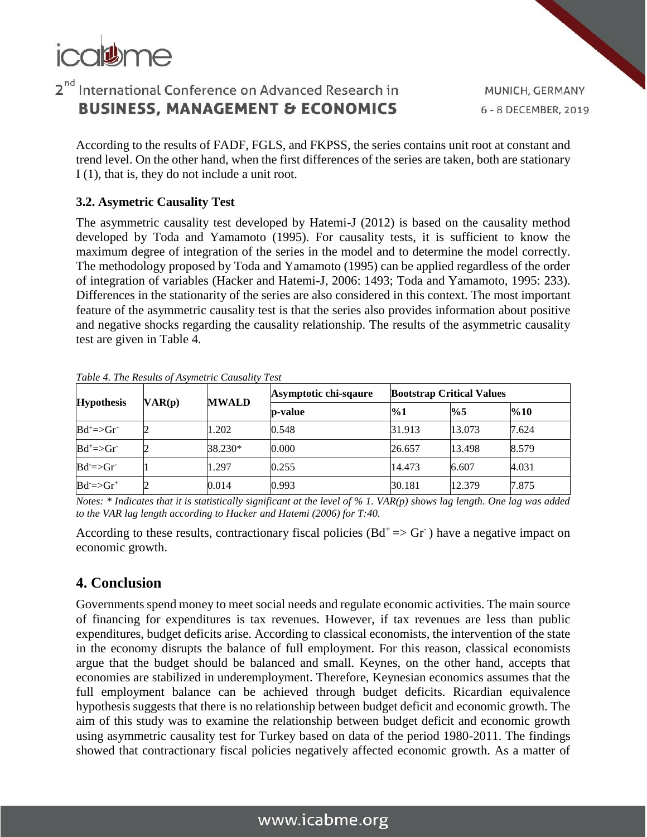

MUNICH, GERMANY 6 - 8 DECEMBER, 2019

According to the results of FADF, FGLS, and FKPSS, the series contains unit root at constant and trend level. On the other hand, when the first differences of the series are taken, both are stationary I (1), that is, they do not include a unit root.

#### **3.2. Asymetric Causality Test**

The asymmetric causality test developed by Hatemi-J (2012) is based on the causality method developed by Toda and Yamamoto (1995). For causality tests, it is sufficient to know the maximum degree of integration of the series in the model and to determine the model correctly. The methodology proposed by Toda and Yamamoto (1995) can be applied regardless of the order of integration of variables (Hacker and Hatemi-J, 2006: 1493; Toda and Yamamoto, 1995: 233). Differences in the stationarity of the series are also considered in this context. The most important feature of the asymmetric causality test is that the series also provides information about positive and negative shocks regarding the causality relationship. The results of the asymmetric causality test are given in Table 4.

| <b>Hypothesis</b>                       |        |              | Asymptotic chi-sqaure | <b>Bootstrap Critical Values</b> |               |       |  |  |
|-----------------------------------------|--------|--------------|-----------------------|----------------------------------|---------------|-------|--|--|
|                                         | VAR(p) | <b>MWALD</b> | <b>b</b> -value       | $\%1$                            | $\frac{9}{6}$ | %10   |  |  |
| $Bd^{\dagger} \Rightarrow Gr^{\dagger}$ |        | 1.202        | 0.548                 | 31.913                           | 13.073        | 7.624 |  |  |
| $Bd^{\dagger} \Rightarrow Gr^{\dagger}$ |        | 38.230*      | 0.000                 | 26.657                           | 13.498        | 8.579 |  |  |
| $Bd = > Gr$                             |        | 1.297        | 0.255                 | 14.473                           | 6.607         | 4.031 |  |  |
| $Bd = > Gr^+$                           |        | 0.014        | 0.993                 | 30.181                           | 12.379        | 7.875 |  |  |

*Table 4. The Results of Asymetric Causality Test*

*Notes: \* Indicates that it is statistically significant at the level of % 1. VAR(p) shows lag length. One lag was added to the VAR lag length according to Hacker and Hatemi (2006) for T:40.*

According to these results, contractionary fiscal policies  $(Bd^+ \Rightarrow Gr^-)$  have a negative impact on economic growth.

#### **4. Conclusion**

Governments spend money to meet social needs and regulate economic activities. The main source of financing for expenditures is tax revenues. However, if tax revenues are less than public expenditures, budget deficits arise. According to classical economists, the intervention of the state in the economy disrupts the balance of full employment. For this reason, classical economists argue that the budget should be balanced and small. Keynes, on the other hand, accepts that economies are stabilized in underemployment. Therefore, Keynesian economics assumes that the full employment balance can be achieved through budget deficits. Ricardian equivalence hypothesis suggests that there is no relationship between budget deficit and economic growth. The aim of this study was to examine the relationship between budget deficit and economic growth using asymmetric causality test for Turkey based on data of the period 1980-2011. The findings showed that contractionary fiscal policies negatively affected economic growth. As a matter of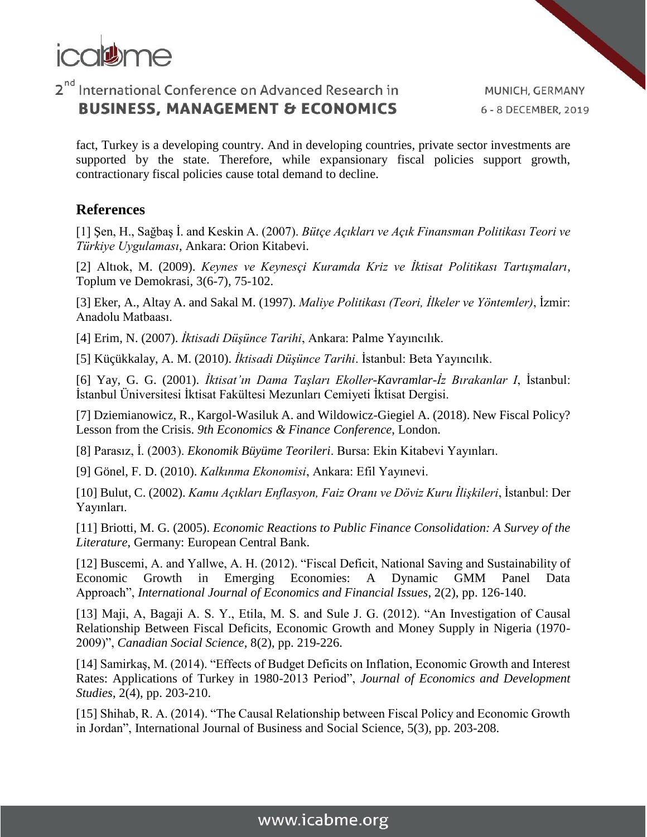

MUNICH, GERMANY 6 - 8 DECEMBER, 2019

fact, Turkey is a developing country. And in developing countries, private sector investments are supported by the state. Therefore, while expansionary fiscal policies support growth, contractionary fiscal policies cause total demand to decline.

#### **References**

[1] Şen, H., Sağbaş İ. and Keskin A. (2007). *Bütçe Açıkları ve Açık Finansman Politikası Teori ve Türkiye Uygulaması*, Ankara: Orion Kitabevi.

[2] Altıok, M. (2009). *Keynes ve Keynesçi Kuramda Kriz ve İktisat Politikası Tartışmaları*, Toplum ve Demokrasi, 3(6-7), 75-102.

[3] Eker, A., Altay A. and Sakal M. (1997). *Maliye Politikası (Teori, İlkeler ve Yöntemler)*, İzmir: Anadolu Matbaası.

[4] Erim, N. (2007). *İktisadi Düşünce Tarihi*, Ankara: Palme Yayıncılık.

[5] Küçükkalay, A. M. (2010). *İktisadi Düşünce Tarihi*. İstanbul: Beta Yayıncılık.

[6] Yay, G. G. (2001). *İktisat'ın Dama Taşları Ekoller-Kavramlar-İz Bırakanlar I*, İstanbul: İstanbul Üniversitesi İktisat Fakültesi Mezunları Cemiyeti İktisat Dergisi.

[7] Dziemianowicz, R., Kargol-Wasiluk A. and Wildowicz-Giegiel A. (2018). New Fiscal Policy? Lesson from the Crisis. *9th Economics & Finance Conference*, London.

[8] Parasız, İ. (2003). *Ekonomik Büyüme Teorileri*. Bursa: Ekin Kitabevi Yayınları.

[9] Gönel, F. D. (2010). *Kalkınma Ekonomisi*, Ankara: Efil Yayınevi.

[10] Bulut, C. (2002). *Kamu Açıkları Enflasyon, Faiz Oranı ve Döviz Kuru İlişkileri*, İstanbul: Der Yayınları.

[11] Briotti, M. G. (2005). *Economic Reactions to Public Finance Consolidation: A Survey of the Literature*, Germany: European Central Bank.

[12] Buscemi, A. and Yallwe, A. H. (2012). "Fiscal Deficit, National Saving and Sustainability of Economic Growth in Emerging Economies: A Dynamic GMM Panel Data Approach", *International Journal of Economics and Financial Issues*, 2(2), pp. 126-140.

[13] Maji, A, Bagaji A. S. Y., Etila, M. S. and Sule J. G. (2012). "An Investigation of Causal Relationship Between Fiscal Deficits, Economic Growth and Money Supply in Nigeria (1970- 2009)", *Canadian Social Science*, 8(2), pp. 219-226.

[14] Samirkaş, M. (2014). "Effects of Budget Deficits on Inflation, Economic Growth and Interest Rates: Applications of Turkey in 1980-2013 Period", *Journal of Economics and Development Studies*, 2(4), pp. 203-210.

[15] Shihab, R. A. (2014). "The Causal Relationship between Fiscal Policy and Economic Growth in Jordan", International Journal of Business and Social Science, 5(3), pp. 203-208.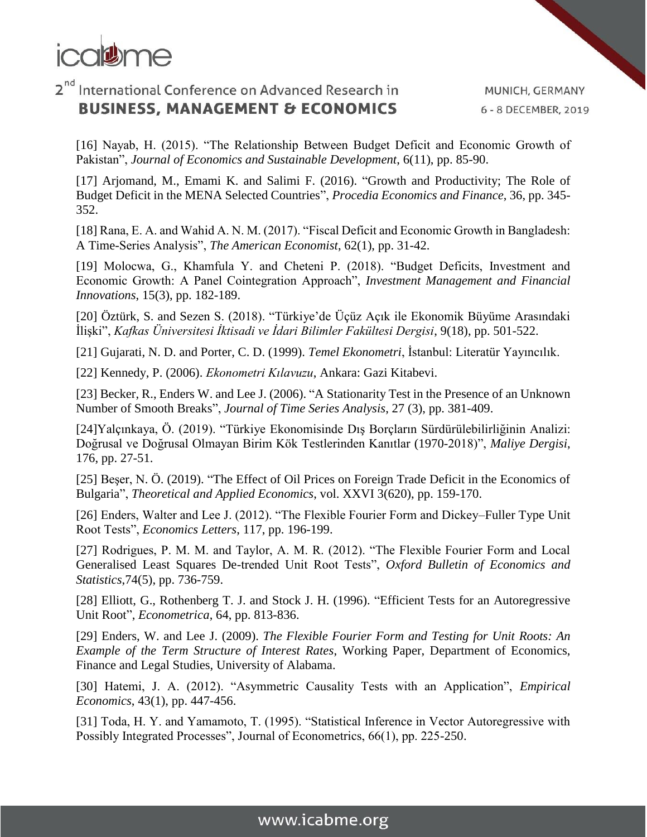

MUNICH, GERMANY 6 - 8 DECEMBER, 2019

[16] Nayab, H. (2015). "The Relationship Between Budget Deficit and Economic Growth of Pakistan", *Journal of Economics and Sustainable Development*, 6(11), pp. 85-90.

[17] Arjomand, M., Emami K. and Salimi F. (2016). "Growth and Productivity; The Role of Budget Deficit in the MENA Selected Countries", *Procedia Economics and Finance*, 36, pp. 345- 352.

[18] Rana, E. A. and Wahid A. N. M. (2017). "Fiscal Deficit and Economic Growth in Bangladesh: A Time-Series Analysis", *The American Economist*, 62(1), pp. 31-42.

[19] Molocwa, G., Khamfula Y. and Cheteni P. (2018). "Budget Deficits, Investment and Economic Growth: A Panel Cointegration Approach", *Investment Management and Financial Innovations*, 15(3), pp. 182-189.

[20] Öztürk, S. and Sezen S. (2018). "Türkiye'de Üçüz Açık ile Ekonomik Büyüme Arasındaki İlişki", *Kafkas Üniversitesi İktisadi ve İdari Bilimler Fakültesi Dergisi*, 9(18), pp. 501-522.

[21] Gujarati, N. D. and Porter, C. D. (1999). *Temel Ekonometri*, İstanbul: Literatür Yayıncılık.

[22] Kennedy, P. (2006). *Ekonometri Kılavuzu*, Ankara: Gazi Kitabevi.

[23] Becker, R., Enders W. and Lee J. (2006). "A Stationarity Test in the Presence of an Unknown Number of Smooth Breaks", *Journal of Time Series Analysis*, 27 (3), pp. 381-409.

[24]Yalçınkaya, Ö. (2019). "Türkiye Ekonomisinde Dış Borçların Sürdürülebilirliğinin Analizi: Doğrusal ve Doğrusal Olmayan Birim Kök Testlerinden Kanıtlar (1970-2018)", *Maliye Dergisi*, 176, pp. 27-51.

[25] Beşer, N. Ö. (2019). "The Effect of Oil Prices on Foreign Trade Deficit in the Economics of Bulgaria", *Theoretical and Applied Economics*, vol. XXVI 3(620), pp. 159-170.

[26] Enders, Walter and Lee J. (2012). "The Flexible Fourier Form and Dickey–Fuller Type Unit Root Tests", *Economics Letters*, 117, pp. 196-199.

[27] Rodrigues, P. M. M. and Taylor, A. M. R. (2012). "The Flexible Fourier Form and Local Generalised Least Squares De-trended Unit Root Tests", *Oxford Bulletin of Economics and Statistics*,74(5), pp. 736-759.

[28] Elliott, G., Rothenberg T. J. and Stock J. H. (1996). "Efficient Tests for an Autoregressive Unit Root", *Econometrica*, 64, pp. 813-836.

[29] Enders, W. and Lee J. (2009). *The Flexible Fourier Form and Testing for Unit Roots: An Example of the Term Structure of Interest Rates*, Working Paper, Department of Economics, Finance and Legal Studies, University of Alabama.

[30] Hatemi, J. A. (2012). "Asymmetric Causality Tests with an Application", *Empirical Economics*, 43(1), pp. 447-456.

[31] Toda, H. Y. and Yamamoto, T. (1995). "Statistical Inference in Vector Autoregressive with Possibly Integrated Processes", Journal of Econometrics, 66(1), pp. 225-250.